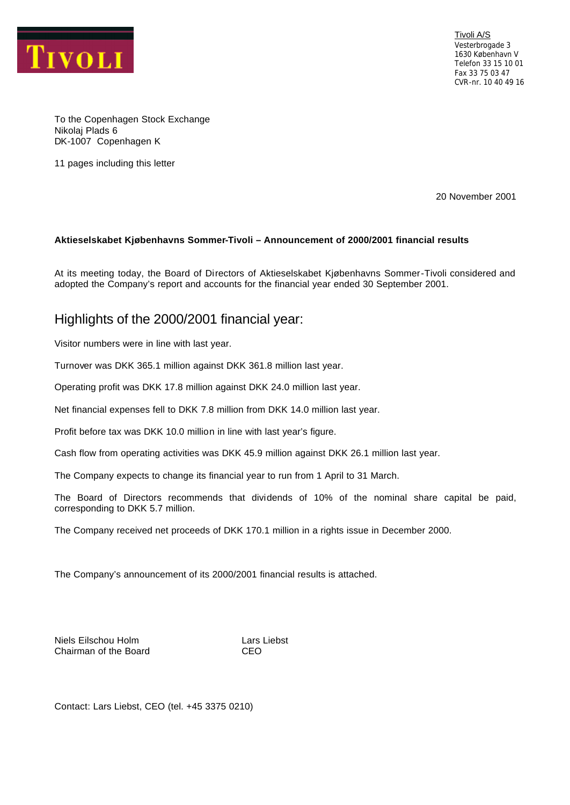

Tivoli A/S Vesterbrogade 3 1630 København V Telefon 33 15 10 01 Fax 33 75 03 47 CVR-nr. 10 40 49 16

To the Copenhagen Stock Exchange Nikolaj Plads 6 DK-1007 Copenhagen K

11 pages including this letter

20 November 2001

### **Aktieselskabet Kjøbenhavns Sommer-Tivoli – Announcement of 2000/2001 financial results**

At its meeting today, the Board of Directors of Aktieselskabet Kjøbenhavns Sommer-Tivoli considered and adopted the Company's report and accounts for the financial year ended 30 September 2001.

# Highlights of the 2000/2001 financial year:

Visitor numbers were in line with last year.

Turnover was DKK 365.1 million against DKK 361.8 million last year.

Operating profit was DKK 17.8 million against DKK 24.0 million last year.

Net financial expenses fell to DKK 7.8 million from DKK 14.0 million last year.

Profit before tax was DKK 10.0 million in line with last year's figure.

Cash flow from operating activities was DKK 45.9 million against DKK 26.1 million last year.

The Company expects to change its financial year to run from 1 April to 31 March.

The Board of Directors recommends that dividends of 10% of the nominal share capital be paid, corresponding to DKK 5.7 million.

The Company received net proceeds of DKK 170.1 million in a rights issue in December 2000.

The Company's announcement of its 2000/2001 financial results is attached.

Niels Eilschou Holm **Lars Liebst** Chairman of the Board CEO

Contact: Lars Liebst, CEO (tel. +45 3375 0210)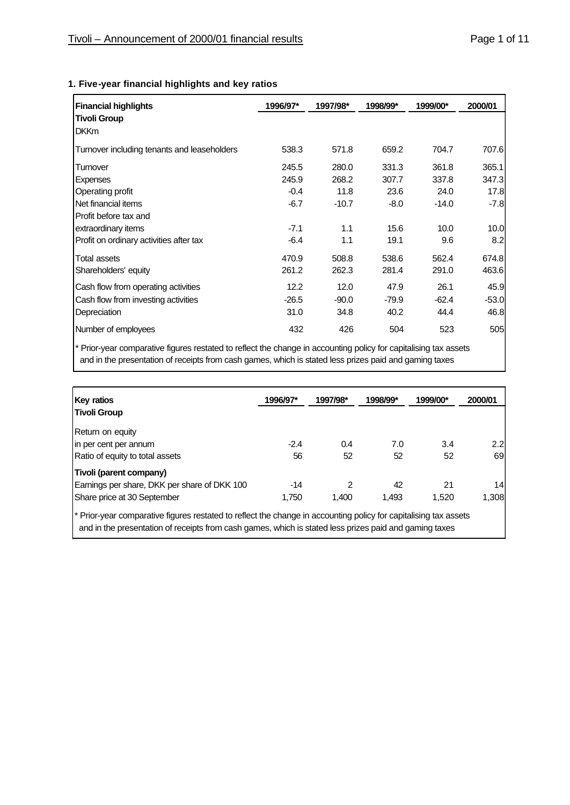| <b>Financial highlights</b>                 | 1996/97* | 1997/98* | 1998/99* | 1999/00* | 2000/01 |
|---------------------------------------------|----------|----------|----------|----------|---------|
| <b>Tivoli Group</b>                         |          |          |          |          |         |
| <b>DKKm</b>                                 |          |          |          |          |         |
| Turnover including tenants and leaseholders | 538.3    | 571.8    | 659.2    | 704.7    | 707.6   |
| Turnover                                    | 245.5    | 280.0    | 331.3    | 361.8    | 365.1   |
| <b>Expenses</b>                             | 245.9    | 268.2    | 307.7    | 337.8    | 347.3   |
| Operating profit                            | $-0.4$   | 11.8     | 23.6     | 24.0     | 17.8    |
| Net financial items                         | $-6.7$   | $-10.7$  | $-8.0$   | $-14.0$  | $-7.8$  |
| Profit before tax and                       |          |          |          |          |         |
| extraordinary items                         | $-7.1$   | 1.1      | 15.6     | 10.0     | 10.0    |
| Profit on ordinary activities after tax     | $-6.4$   | 1.1      | 19.1     | 9.6      | 8.2     |
| Total assets                                | 470.9    | 508.8    | 538.6    | 562.4    | 674.8   |
| Shareholders' equity                        | 261.2    | 262.3    | 281.4    | 291.0    | 463.6   |
| Cash flow from operating activities         | 12.2     | 12.0     | 47.9     | 26.1     | 45.9    |
| Cash flow from investing activities         | $-26.5$  | $-90.0$  | $-79.9$  | $-62.4$  | $-53.0$ |
| Depreciation                                | 31.0     | 34.8     | 40.2     | 44.4     | 46.8    |
| Number of employees                         | 432      | 426      | 504      | 523      | 505     |

## **1. Five-year financial highlights and key ratios**

\* Prior-year comparative figures restated to reflect the change in accounting policy for capitalising tax assets and in the presentation of receipts from cash games, which is stated less prizes paid and gaming taxes

| <b>Key ratios</b>                                                                                                | 1996/97* | 1997/98* | 1998/99* | 1999/00* | 2000/01 |
|------------------------------------------------------------------------------------------------------------------|----------|----------|----------|----------|---------|
| <b>Tivoli Group</b>                                                                                              |          |          |          |          |         |
| Return on equity                                                                                                 |          |          |          |          |         |
| in per cent per annum                                                                                            | $-2.4$   | 0.4      | 7.0      | 3.4      | 2.2     |
| Ratio of equity to total assets                                                                                  | 56       | 52       | 52       | 52       | 69      |
| Tivoli (parent company)                                                                                          |          |          |          |          |         |
| Earnings per share, DKK per share of DKK 100                                                                     | $-14$    | 2        | 42       | 21       | 14      |
| Share price at 30 September                                                                                      | 1,750    | 1.400    | 1.493    | 1,520    | 1,308   |
| * Prior-year comparative figures restated to reflect the change in accounting policy for capitalising tax assets |          |          |          |          |         |

and in the presentation of receipts from cash games, which is stated less prizes paid and gaming taxes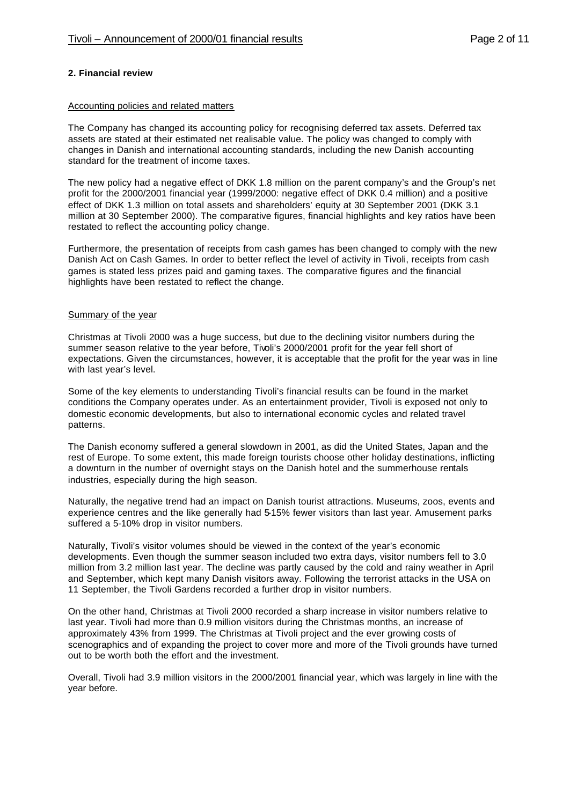### **2. Financial review**

#### Accounting policies and related matters

The Company has changed its accounting policy for recognising deferred tax assets. Deferred tax assets are stated at their estimated net realisable value. The policy was changed to comply with changes in Danish and international accounting standards, including the new Danish accounting standard for the treatment of income taxes.

The new policy had a negative effect of DKK 1.8 million on the parent company's and the Group's net profit for the 2000/2001 financial year (1999/2000: negative effect of DKK 0.4 million) and a positive effect of DKK 1.3 million on total assets and shareholders' equity at 30 September 2001 (DKK 3.1 million at 30 September 2000). The comparative figures, financial highlights and key ratios have been restated to reflect the accounting policy change.

Furthermore, the presentation of receipts from cash games has been changed to comply with the new Danish Act on Cash Games. In order to better reflect the level of activity in Tivoli, receipts from cash games is stated less prizes paid and gaming taxes. The comparative figures and the financial highlights have been restated to reflect the change.

#### Summary of the year

Christmas at Tivoli 2000 was a huge success, but due to the declining visitor numbers during the summer season relative to the year before, Tivoli's 2000/2001 profit for the year fell short of expectations. Given the circumstances, however, it is acceptable that the profit for the year was in line with last year's level.

Some of the key elements to understanding Tivoli's financial results can be found in the market conditions the Company operates under. As an entertainment provider, Tivoli is exposed not only to domestic economic developments, but also to international economic cycles and related travel patterns.

The Danish economy suffered a general slowdown in 2001, as did the United States, Japan and the rest of Europe. To some extent, this made foreign tourists choose other holiday destinations, inflicting a downturn in the number of overnight stays on the Danish hotel and the summerhouse rentals industries, especially during the high season.

Naturally, the negative trend had an impact on Danish tourist attractions. Museums, zoos, events and experience centres and the like generally had 5-15% fewer visitors than last year. Amusement parks suffered a 5-10% drop in visitor numbers.

Naturally, Tivoli's visitor volumes should be viewed in the context of the year's economic developments. Even though the summer season included two extra days, visitor numbers fell to 3.0 million from 3.2 million last year. The decline was partly caused by the cold and rainy weather in April and September, which kept many Danish visitors away. Following the terrorist attacks in the USA on 11 September, the Tivoli Gardens recorded a further drop in visitor numbers.

On the other hand, Christmas at Tivoli 2000 recorded a sharp increase in visitor numbers relative to last year. Tivoli had more than 0.9 million visitors during the Christmas months, an increase of approximately 43% from 1999. The Christmas at Tivoli project and the ever growing costs of scenographics and of expanding the project to cover more and more of the Tivoli grounds have turned out to be worth both the effort and the investment.

Overall, Tivoli had 3.9 million visitors in the 2000/2001 financial year, which was largely in line with the year before.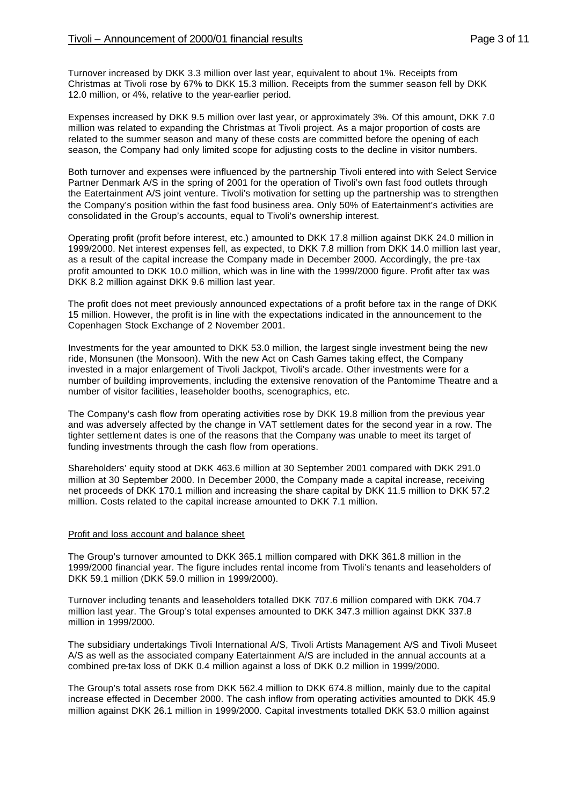Turnover increased by DKK 3.3 million over last year, equivalent to about 1%. Receipts from Christmas at Tivoli rose by 67% to DKK 15.3 million. Receipts from the summer season fell by DKK 12.0 million, or 4%, relative to the year-earlier period.

Expenses increased by DKK 9.5 million over last year, or approximately 3%. Of this amount, DKK 7.0 million was related to expanding the Christmas at Tivoli project. As a major proportion of costs are related to the summer season and many of these costs are committed before the opening of each season, the Company had only limited scope for adjusting costs to the decline in visitor numbers.

Both turnover and expenses were influenced by the partnership Tivoli entered into with Select Service Partner Denmark A/S in the spring of 2001 for the operation of Tivoli's own fast food outlets through the Eatertainment A/S joint venture. Tivoli's motivation for setting up the partnership was to strengthen the Company's position within the fast food business area. Only 50% of Eatertainment's activities are consolidated in the Group's accounts, equal to Tivoli's ownership interest.

Operating profit (profit before interest, etc.) amounted to DKK 17.8 million against DKK 24.0 million in 1999/2000. Net interest expenses fell, as expected, to DKK 7.8 million from DKK 14.0 million last year, as a result of the capital increase the Company made in December 2000. Accordingly, the pre-tax profit amounted to DKK 10.0 million, which was in line with the 1999/2000 figure. Profit after tax was DKK 8.2 million against DKK 9.6 million last year.

The profit does not meet previously announced expectations of a profit before tax in the range of DKK 15 million. However, the profit is in line with the expectations indicated in the announcement to the Copenhagen Stock Exchange of 2 November 2001.

Investments for the year amounted to DKK 53.0 million, the largest single investment being the new ride, Monsunen (the Monsoon). With the new Act on Cash Games taking effect, the Company invested in a major enlargement of Tivoli Jackpot, Tivoli's arcade. Other investments were for a number of building improvements, including the extensive renovation of the Pantomime Theatre and a number of visitor facilities, leaseholder booths, scenographics, etc.

The Company's cash flow from operating activities rose by DKK 19.8 million from the previous year and was adversely affected by the change in VAT settlement dates for the second year in a row. The tighter settlement dates is one of the reasons that the Company was unable to meet its target of funding investments through the cash flow from operations.

Shareholders' equity stood at DKK 463.6 million at 30 September 2001 compared with DKK 291.0 million at 30 September 2000. In December 2000, the Company made a capital increase, receiving net proceeds of DKK 170.1 million and increasing the share capital by DKK 11.5 million to DKK 57.2 million. Costs related to the capital increase amounted to DKK 7.1 million.

### Profit and loss account and balance sheet

The Group's turnover amounted to DKK 365.1 million compared with DKK 361.8 million in the 1999/2000 financial year. The figure includes rental income from Tivoli's tenants and leaseholders of DKK 59.1 million (DKK 59.0 million in 1999/2000).

Turnover including tenants and leaseholders totalled DKK 707.6 million compared with DKK 704.7 million last year. The Group's total expenses amounted to DKK 347.3 million against DKK 337.8 million in 1999/2000.

The subsidiary undertakings Tivoli International A/S, Tivoli Artists Management A/S and Tivoli Museet A/S as well as the associated company Eatertainment A/S are included in the annual accounts at a combined pre-tax loss of DKK 0.4 million against a loss of DKK 0.2 million in 1999/2000.

The Group's total assets rose from DKK 562.4 million to DKK 674.8 million, mainly due to the capital increase effected in December 2000. The cash inflow from operating activities amounted to DKK 45.9 million against DKK 26.1 million in 1999/2000. Capital investments totalled DKK 53.0 million against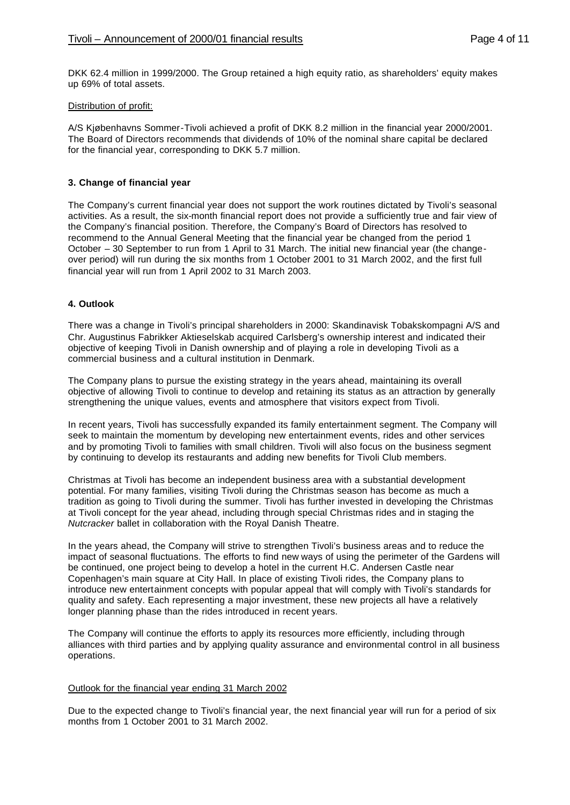DKK 62.4 million in 1999/2000. The Group retained a high equity ratio, as shareholders' equity makes up 69% of total assets.

### Distribution of profit:

A/S Kjøbenhavns Sommer-Tivoli achieved a profit of DKK 8.2 million in the financial year 2000/2001. The Board of Directors recommends that dividends of 10% of the nominal share capital be declared for the financial year, corresponding to DKK 5.7 million.

### **3. Change of financial year**

The Company's current financial year does not support the work routines dictated by Tivoli's seasonal activities. As a result, the six-month financial report does not provide a sufficiently true and fair view of the Company's financial position. Therefore, the Company's Board of Directors has resolved to recommend to the Annual General Meeting that the financial year be changed from the period 1 October – 30 September to run from 1 April to 31 March. The initial new financial year (the changeover period) will run during the six months from 1 October 2001 to 31 March 2002, and the first full financial year will run from 1 April 2002 to 31 March 2003.

### **4. Outlook**

There was a change in Tivoli's principal shareholders in 2000: Skandinavisk Tobakskompagni A/S and Chr. Augustinus Fabrikker Aktieselskab acquired Carlsberg's ownership interest and indicated their objective of keeping Tivoli in Danish ownership and of playing a role in developing Tivoli as a commercial business and a cultural institution in Denmark.

The Company plans to pursue the existing strategy in the years ahead, maintaining its overall objective of allowing Tivoli to continue to develop and retaining its status as an attraction by generally strengthening the unique values, events and atmosphere that visitors expect from Tivoli.

In recent years, Tivoli has successfully expanded its family entertainment segment. The Company will seek to maintain the momentum by developing new entertainment events, rides and other services and by promoting Tivoli to families with small children. Tivoli will also focus on the business segment by continuing to develop its restaurants and adding new benefits for Tivoli Club members.

Christmas at Tivoli has become an independent business area with a substantial development potential. For many families, visiting Tivoli during the Christmas season has become as much a tradition as going to Tivoli during the summer. Tivoli has further invested in developing the Christmas at Tivoli concept for the year ahead, including through special Christmas rides and in staging the *Nutcracker* ballet in collaboration with the Royal Danish Theatre.

In the years ahead, the Company will strive to strengthen Tivoli's business areas and to reduce the impact of seasonal fluctuations. The efforts to find new ways of using the perimeter of the Gardens will be continued, one project being to develop a hotel in the current H.C. Andersen Castle near Copenhagen's main square at City Hall. In place of existing Tivoli rides, the Company plans to introduce new entertainment concepts with popular appeal that will comply with Tivoli's standards for quality and safety. Each representing a major investment, these new projects all have a relatively longer planning phase than the rides introduced in recent years.

The Company will continue the efforts to apply its resources more efficiently, including through alliances with third parties and by applying quality assurance and environmental control in all business operations.

### Outlook for the financial year ending 31 March 2002

Due to the expected change to Tivoli's financial year, the next financial year will run for a period of six months from 1 October 2001 to 31 March 2002.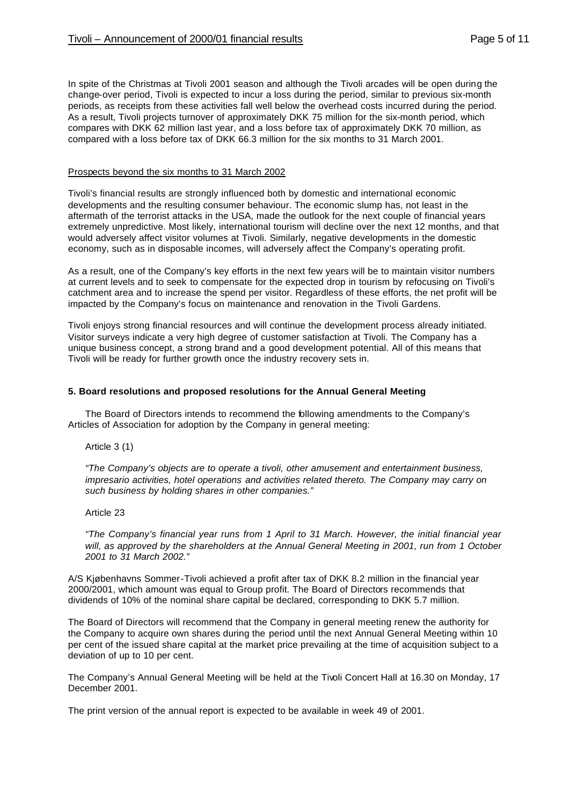In spite of the Christmas at Tivoli 2001 season and although the Tivoli arcades will be open during the change-over period, Tivoli is expected to incur a loss during the period, similar to previous six-month periods, as receipts from these activities fall well below the overhead costs incurred during the period. As a result, Tivoli projects turnover of approximately DKK 75 million for the six-month period, which compares with DKK 62 million last year, and a loss before tax of approximately DKK 70 million, as compared with a loss before tax of DKK 66.3 million for the six months to 31 March 2001.

#### Prospects beyond the six months to 31 March 2002

Tivoli's financial results are strongly influenced both by domestic and international economic developments and the resulting consumer behaviour. The economic slump has, not least in the aftermath of the terrorist attacks in the USA, made the outlook for the next couple of financial years extremely unpredictive. Most likely, international tourism will decline over the next 12 months, and that would adversely affect visitor volumes at Tivoli. Similarly, negative developments in the domestic economy, such as in disposable incomes, will adversely affect the Company's operating profit.

As a result, one of the Company's key efforts in the next few years will be to maintain visitor numbers at current levels and to seek to compensate for the expected drop in tourism by refocusing on Tivoli's catchment area and to increase the spend per visitor. Regardless of these efforts, the net profit will be impacted by the Company's focus on maintenance and renovation in the Tivoli Gardens.

Tivoli enjoys strong financial resources and will continue the development process already initiated. Visitor surveys indicate a very high degree of customer satisfaction at Tivoli. The Company has a unique business concept, a strong brand and a good development potential. All of this means that Tivoli will be ready for further growth once the industry recovery sets in.

#### **5. Board resolutions and proposed resolutions for the Annual General Meeting**

The Board of Directors intends to recommend the following amendments to the Company's Articles of Association for adoption by the Company in general meeting:

Article 3 (1)

*"The Company's objects are to operate a tivoli, other amusement and entertainment business, impresario activities, hotel operations and activities related thereto. The Company may carry on such business by holding shares in other companies."*

#### Article 23

*"The Company's financial year runs from 1 April to 31 March. However, the initial financial year will, as approved by the shareholders at the Annual General Meeting in 2001, run from 1 October 2001 to 31 March 2002."*

A/S Kjøbenhavns Sommer-Tivoli achieved a profit after tax of DKK 8.2 million in the financial year 2000/2001, which amount was equal to Group profit. The Board of Directors recommends that dividends of 10% of the nominal share capital be declared, corresponding to DKK 5.7 million.

The Board of Directors will recommend that the Company in general meeting renew the authority for the Company to acquire own shares during the period until the next Annual General Meeting within 10 per cent of the issued share capital at the market price prevailing at the time of acquisition subject to a deviation of up to 10 per cent.

The Company's Annual General Meeting will be held at the Tivoli Concert Hall at 16.30 on Monday, 17 December 2001.

The print version of the annual report is expected to be available in week 49 of 2001.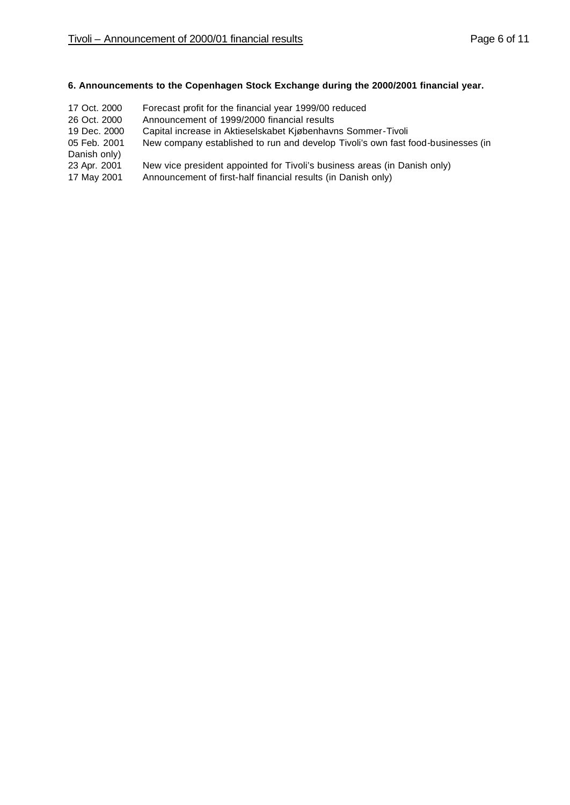## **6. Announcements to the Copenhagen Stock Exchange during the 2000/2001 financial year.**

17 Oct. 2000 Forecast profit for the financial year 1999/00 reduced 26 Oct. 2000 Announcement of 1999/2000 financial results 19 Dec. 2000 Capital increase in Aktieselskabet Kjøbenhavns Sommer-Tivoli 05 Feb. 2001 New company established to run and develop Tivoli's own fast food-businesses (in Danish only) 23 Apr. 2001 New vice president appointed for Tivoli's business areas (in Danish only) 17 May 2001 Announcement of first-half financial results (in Danish only)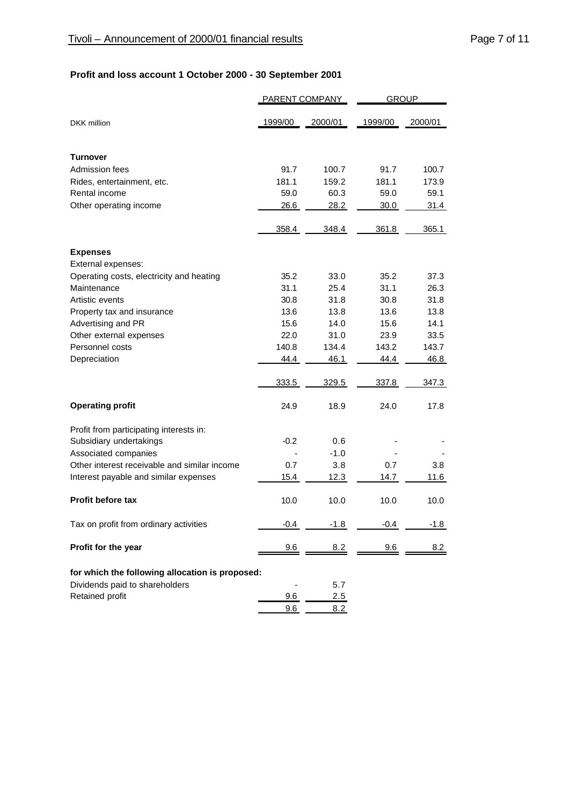# **Profit and loss account 1 October 2000 - 30 September 2001**

|                                                  | <b>PARENT COMPANY</b> |              | <b>GROUP</b> |              |
|--------------------------------------------------|-----------------------|--------------|--------------|--------------|
| <b>DKK</b> million                               | 1999/00               | 2000/01      | 1999/00      | 2000/01      |
| <b>Turnover</b>                                  |                       |              |              |              |
| Admission fees                                   | 91.7                  | 100.7        | 91.7         | 100.7        |
| Rides, entertainment, etc.                       | 181.1                 | 159.2        | 181.1        | 173.9        |
| Rental income                                    | 59.0                  | 60.3         | 59.0         | 59.1         |
| Other operating income                           | 26.6                  | 28.2         | 30.0         | 31.4         |
|                                                  | 358.4                 | 348.4        | 361.8        | 365.1        |
| <b>Expenses</b>                                  |                       |              |              |              |
| External expenses:                               |                       |              |              |              |
| Operating costs, electricity and heating         | 35.2                  | 33.0         | 35.2         | 37.3         |
| Maintenance                                      | 31.1                  | 25.4         | 31.1         | 26.3         |
| Artistic events                                  | 30.8<br>13.6          | 31.8<br>13.8 | 30.8<br>13.6 | 31.8<br>13.8 |
| Property tax and insurance<br>Advertising and PR | 15.6                  | 14.0         | 15.6         | 14.1         |
| Other external expenses                          | 22.0                  | 31.0         | 23.9         | 33.5         |
| Personnel costs                                  | 140.8                 | 134.4        | 143.2        | 143.7        |
| Depreciation                                     | 44.4                  | 46.1         | 44.4         | 46.8         |
|                                                  | 333.5                 | 329.5        | 337.8        | 347.3        |
| <b>Operating profit</b>                          | 24.9                  | 18.9         | 24.0         | 17.8         |
| Profit from participating interests in:          |                       |              |              |              |
| Subsidiary undertakings                          | $-0.2$                | 0.6          |              |              |
| Associated companies                             |                       | -1.0         |              |              |
| Other interest receivable and similar income     | 0.7                   | 3.8          | 0.7          | 3.8          |
| Interest payable and similar expenses            | 15.4                  | 12.3         | 14.7         | 11.6         |
| <b>Profit before tax</b>                         | 10.0                  | 10.0         | 10.0         | 10.0         |
| Tax on profit from ordinary activities           | $-0.4$                | $-1.8$       | $-0.4$       | -1.8         |
| Profit for the year                              | 9.6                   | 8.2          | 9.6          | 8.2          |
| for which the following allocation is proposed:  |                       |              |              |              |
| Dividends paid to shareholders                   |                       | 5.7          |              |              |
| Retained profit                                  | 9.6                   | 2.5          |              |              |
|                                                  | 9.6                   | 8.2          |              |              |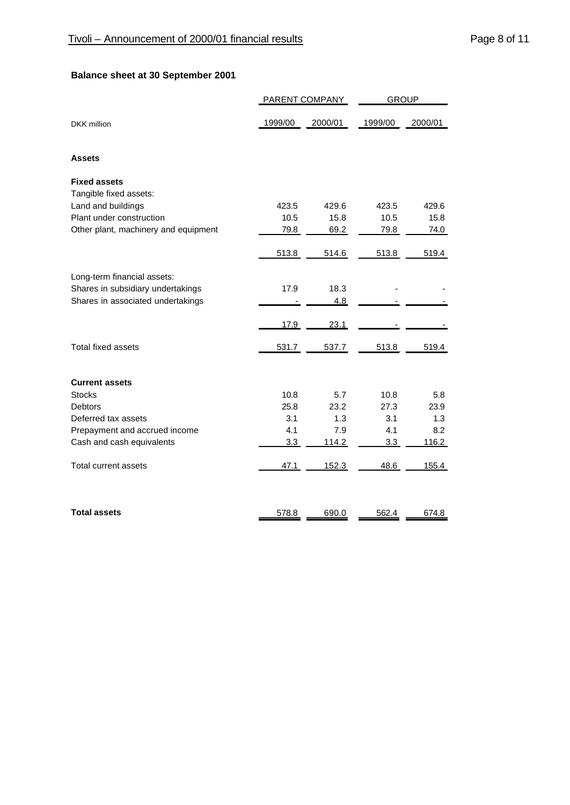# **Balance sheet at 30 September 2001**

|                                      | PARENT COMPANY |         | <b>GROUP</b> |         |  |
|--------------------------------------|----------------|---------|--------------|---------|--|
| <b>DKK</b> million                   | 1999/00        | 2000/01 | 1999/00      | 2000/01 |  |
| <b>Assets</b>                        |                |         |              |         |  |
| <b>Fixed assets</b>                  |                |         |              |         |  |
| Tangible fixed assets:               |                |         |              |         |  |
| Land and buildings                   | 423.5          | 429.6   | 423.5        | 429.6   |  |
| Plant under construction             | 10.5           | 15.8    | 10.5         | 15.8    |  |
| Other plant, machinery and equipment | 79.8           | 69.2    | 79.8         | 74.0    |  |
|                                      | 513.8          | 514.6   | 513.8        | 519.4   |  |
| Long-term financial assets:          |                |         |              |         |  |
| Shares in subsidiary undertakings    | 17.9           | 18.3    |              |         |  |
| Shares in associated undertakings    |                | 4.8     |              |         |  |
|                                      | 17.9           | 23.1    |              |         |  |
| <b>Total fixed assets</b>            | 531.7          | 537.7   | 513.8        | 519.4   |  |
| <b>Current assets</b>                |                |         |              |         |  |
| <b>Stocks</b>                        | 10.8           | 5.7     | 10.8         | 5.8     |  |
| <b>Debtors</b>                       | 25.8           | 23.2    | 27.3         | 23.9    |  |
| Deferred tax assets                  | 3.1            | 1.3     | 3.1          | 1.3     |  |
| Prepayment and accrued income        | 4.1            | 7.9     | 4.1          | 8.2     |  |
| Cash and cash equivalents            | 3.3            | 114.2   | 3.3          | 116.2   |  |
| Total current assets                 | 47.1           | 152.3   | 48.6         | 155.4   |  |
| <b>Total assets</b>                  | 578.8          | 690.0   | 562.4        | 674.8   |  |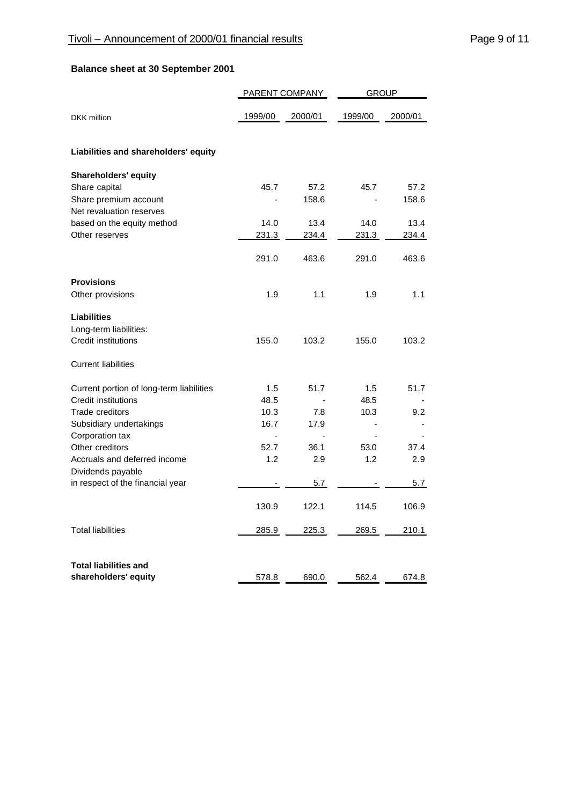# **Balance sheet at 30 September 2001**

| PARENT COMPANY                           |                |                | <b>GROUP</b>   |                |  |
|------------------------------------------|----------------|----------------|----------------|----------------|--|
| <b>DKK</b> million                       | 1999/00        | 2000/01        | 1999/00        | 2000/01        |  |
| Liabilities and shareholders' equity     |                |                |                |                |  |
| <b>Shareholders' equity</b>              |                |                |                |                |  |
| Share capital                            | 45.7           | 57.2           | 45.7           | 57.2           |  |
| Share premium account                    |                | 158.6          |                | 158.6          |  |
| Net revaluation reserves                 |                |                |                |                |  |
| based on the equity method               | 14.0           | 13.4           | 14.0           | 13.4           |  |
| Other reserves                           | 231.3          | <u>234.4 </u>  | 231.3          | <u>234.4</u>   |  |
|                                          | 291.0          | 463.6          | 291.0          | 463.6          |  |
| <b>Provisions</b>                        |                |                |                |                |  |
| Other provisions                         | 1.9            | 1.1            | 1.9            | 1.1            |  |
| <b>Liabilities</b>                       |                |                |                |                |  |
| Long-term liabilities:                   |                |                |                |                |  |
| <b>Credit institutions</b>               | 155.0          | 103.2          | 155.0          | 103.2          |  |
| <b>Current liabilities</b>               |                |                |                |                |  |
| Current portion of long-term liabilities | 1.5            | 51.7           | 1.5            | 51.7           |  |
| <b>Credit institutions</b>               | 48.5           |                | 48.5           |                |  |
| Trade creditors                          | 10.3           | 7.8            | 10.3           | 9.2            |  |
| Subsidiary undertakings                  | 16.7           | 17.9           |                |                |  |
| Corporation tax                          | $\blacksquare$ | $\blacksquare$ | $\blacksquare$ |                |  |
| Other creditors                          | 52.7           | 36.1           | 53.0           | 37.4           |  |
| Accruals and deferred income             | 1.2            | 2.9            | 1.2            | 2.9            |  |
| Dividends payable                        |                |                |                |                |  |
| in respect of the financial year         |                | 5.7            |                | 5.7            |  |
|                                          | 130.9          | 122.1          | 114.5          | 106.9          |  |
| <b>Total liabilities</b>                 | 285.9          | 225.3          | 269.5          | <u> 210.1 </u> |  |
| <b>Total liabilities and</b>             |                |                |                |                |  |
| shareholders' equity                     | 578.8          | 690.0          | 562.4          | 674.8          |  |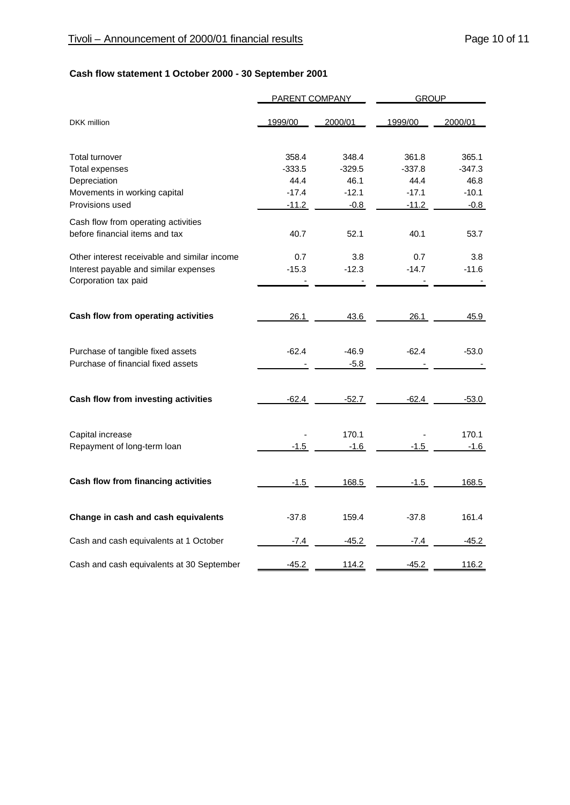# **Cash flow statement 1 October 2000 - 30 September 2001**

|                                              | <b>PARENT COMPANY</b> |          | <b>GROUP</b> |          |  |
|----------------------------------------------|-----------------------|----------|--------------|----------|--|
| <b>DKK</b> million                           | 1999/00               | 2000/01  | 1999/00      | 2000/01  |  |
| Total turnover                               | 358.4                 | 348.4    | 361.8        | 365.1    |  |
| <b>Total expenses</b>                        | $-333.5$              | $-329.5$ | $-337.8$     | $-347.3$ |  |
| Depreciation                                 | 44.4                  | 46.1     | 44.4         | 46.8     |  |
| Movements in working capital                 | $-17.4$               | $-12.1$  | $-17.1$      | $-10.1$  |  |
| Provisions used                              | $-11.2$               | $-0.8$   | $-11.2$      | $-0.8$   |  |
| Cash flow from operating activities          |                       |          |              |          |  |
| before financial items and tax               | 40.7                  | 52.1     | 40.1         | 53.7     |  |
| Other interest receivable and similar income | 0.7                   | 3.8      | 0.7          | 3.8      |  |
| Interest payable and similar expenses        | $-15.3$               | $-12.3$  | $-14.7$      | $-11.6$  |  |
| Corporation tax paid                         |                       |          |              |          |  |
|                                              |                       |          |              |          |  |
| Cash flow from operating activities          | 26.1                  | 43.6     | 26.1         | 45.9     |  |
| Purchase of tangible fixed assets            | $-62.4$               | $-46.9$  | $-62.4$      | $-53.0$  |  |
| Purchase of financial fixed assets           |                       | $-5.8$   |              |          |  |
| Cash flow from investing activities          | $-62.4$               | $-52.7$  | $-62.4$      | $-53.0$  |  |
| Capital increase                             |                       | 170.1    |              | 170.1    |  |
| Repayment of long-term loan                  | $-1.5$                | $-1.6$   | -1.5         | -1.6     |  |
| Cash flow from financing activities          | $-1.5$                | 168.5    | $-1.5$       | 168.5    |  |
|                                              |                       |          |              |          |  |
| Change in cash and cash equivalents          | $-37.8$               | 159.4    | $-37.8$      | 161.4    |  |
| Cash and cash equivalents at 1 October       | $-7.4$                | $-45.2$  | $-7.4$       | $-45.2$  |  |
| Cash and cash equivalents at 30 September    | $-45.2$               | 114.2    | $-45.2$      | 116.2    |  |